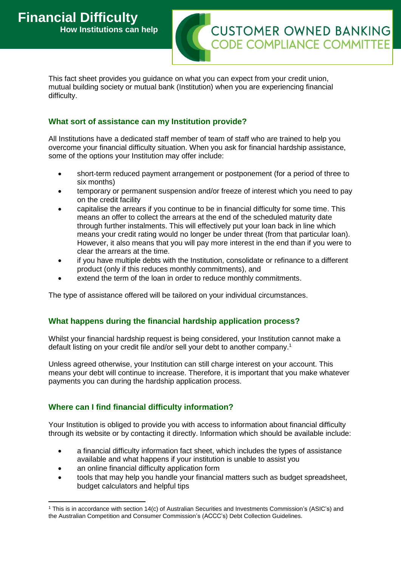

This fact sheet provides you guidance on what you can expect from your credit union, mutual building society or mutual bank (Institution) when you are experiencing financial difficulty.

# **What sort of assistance can my Institution provide?**

All Institutions have a dedicated staff member of team of staff who are trained to help you overcome your financial difficulty situation. When you ask for financial hardship assistance, some of the options your Institution may offer include:

- short-term reduced payment arrangement or postponement (for a period of three to six months)
- temporary or permanent suspension and/or freeze of interest which you need to pay on the credit facility
- capitalise the arrears if you continue to be in financial difficulty for some time. This means an offer to collect the arrears at the end of the scheduled maturity date through further instalments. This will effectively put your loan back in line which means your credit rating would no longer be under threat (from that particular loan). However, it also means that you will pay more interest in the end than if you were to clear the arrears at the time.
- if you have multiple debts with the Institution, consolidate or refinance to a different product (only if this reduces monthly commitments), and
- extend the term of the loan in order to reduce monthly commitments.

The type of assistance offered will be tailored on your individual circumstances.

## **What happens during the financial hardship application process?**

Whilst your financial hardship request is being considered, your Institution cannot make a default listing on your credit file and/or sell your debt to another company.<sup>1</sup>

Unless agreed otherwise, your Institution can still charge interest on your account. This means your debt will continue to increase. Therefore, it is important that you make whatever payments you can during the hardship application process.

## **Where can I find financial difficulty information?**

Your Institution is obliged to provide you with access to information about financial difficulty through its website or by contacting it directly. Information which should be available include:

- a financial difficulty information fact sheet, which includes the types of assistance available and what happens if your institution is unable to assist you
- an online financial difficulty application form

**.** 

 tools that may help you handle your financial matters such as budget spreadsheet, budget calculators and helpful tips

<sup>1</sup> This is in accordance with section 14(c) of Australian Securities and Investments Commission's (ASIC's) and the Australia[n Competition and Consumer Commission'](https://www.google.com.au/url?sa=t&rct=j&q=&esrc=s&source=web&cd=1&cad=rja&uact=8&sqi=2&ved=0CBwQFjAA&url=https%3A%2F%2Fwww.accc.gov.au%2F&ei=CN_1U5qiLomF8gWd8oHwAQ&usg=AFQjCNGetZR3Wc6ZO5hkqJv93FIFkeXEgA&sig2=Kl0vE3MOnxQnSaVPFwZ-lg&bvm=bv.73231344,d.dGc)s (ACCC's) Debt Collection Guidelines.